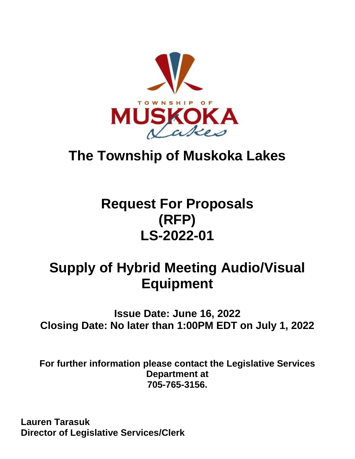

# **The Township of Muskoka Lakes**

# **Request For Proposals (RFP) LS-2022-01**

# **Supply of Hybrid Meeting Audio/Visual Equipment**

**Issue Date: June 16, 2022 Closing Date: No later than 1:00PM EDT on July 1, 2022**

**For further information please contact the Legislative Services Department at 705-765-3156.**

**Lauren Tarasuk Director of Legislative Services/Clerk**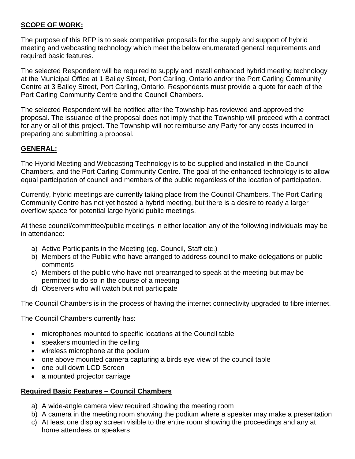## **SCOPE OF WORK:**

The purpose of this RFP is to seek competitive proposals for the supply and support of hybrid meeting and webcasting technology which meet the below enumerated general requirements and required basic features.

The selected Respondent will be required to supply and install enhanced hybrid meeting technology at the Municipal Office at 1 Bailey Street, Port Carling, Ontario and/or the Port Carling Community Centre at 3 Bailey Street, Port Carling, Ontario. Respondents must provide a quote for each of the Port Carling Community Centre and the Council Chambers.

The selected Respondent will be notified after the Township has reviewed and approved the proposal. The issuance of the proposal does not imply that the Township will proceed with a contract for any or all of this project. The Township will not reimburse any Party for any costs incurred in preparing and submitting a proposal.

#### **GENERAL:**

The Hybrid Meeting and Webcasting Technology is to be supplied and installed in the Council Chambers, and the Port Carling Community Centre. The goal of the enhanced technology is to allow equal participation of council and members of the public regardless of the location of participation.

Currently, hybrid meetings are currently taking place from the Council Chambers. The Port Carling Community Centre has not yet hosted a hybrid meeting, but there is a desire to ready a larger overflow space for potential large hybrid public meetings.

At these council/committee/public meetings in either location any of the following individuals may be in attendance:

- a) Active Participants in the Meeting (eg. Council, Staff etc.)
- b) Members of the Public who have arranged to address council to make delegations or public comments
- c) Members of the public who have not prearranged to speak at the meeting but may be permitted to do so in the course of a meeting
- d) Observers who will watch but not participate

The Council Chambers is in the process of having the internet connectivity upgraded to fibre internet.

The Council Chambers currently has:

- microphones mounted to specific locations at the Council table
- speakers mounted in the ceiling
- wireless microphone at the podium
- one above mounted camera capturing a birds eye view of the council table
- one pull down LCD Screen
- a mounted projector carriage

#### **Required Basic Features – Council Chambers**

- a) A wide-angle camera view required showing the meeting room
- b) A camera in the meeting room showing the podium where a speaker may make a presentation
- c) At least one display screen visible to the entire room showing the proceedings and any at home attendees or speakers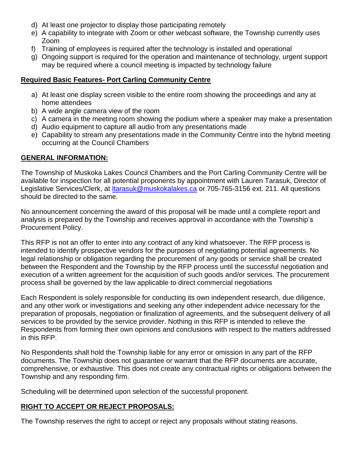- d) At least one projector to display those participating remotely
- e) A capability to integrate with Zoom or other webcast software, the Township currently uses Zoom
- f) Training of employees is required after the technology is installed and operational
- g) Ongoing support is required for the operation and maintenance of technology, urgent support may be required where a council meeting is impacted by technology failure

#### **Required Basic Features- Port Carling Community Centre**

- a) At least one display screen visible to the entire room showing the proceedings and any at home attendees
- b) A wide angle camera view of the room
- c) A camera in the meeting room showing the podium where a speaker may make a presentation
- d) Audio equipment to capture all audio from any presentations made
- e) Capability to stream any presentations made in the Community Centre into the hybrid meeting occurring at the Council Chambers

#### **GENERAL INFORMATION:**

The Township of Muskoka Lakes Council Chambers and the Port Carling Community Centre will be available for inspection for all potential proponents by appointment with Lauren Tarasuk, Director of Legislative Services/Clerk, at Itarasuk@muskokalakes.ca or 705-765-3156 ext. 211. All questions should be directed to the same.

No announcement concerning the award of this proposal will be made until a complete report and analysis is prepared by the Township and receives approval in accordance with the Township's Procurement Policy.

This RFP is not an offer to enter into any contract of any kind whatsoever. The RFP process is intended to identify prospective vendors for the purposes of negotiating potential agreements. No legal relationship or obligation regarding the procurement of any goods or service shall be created between the Respondent and the Township by the RFP process until the successful negotiation and execution of a written agreement for the acquisition of such goods and/or services. The procurement process shall be governed by the law applicable to direct commercial negotiations

Each Respondent is solely responsible for conducting its own independent research, due diligence, and any other work or investigations and seeking any other independent advice necessary for the preparation of proposals, negotiation or finalization of agreements, and the subsequent delivery of all services to be provided by the service provider. Nothing in this RFP is intended to relieve the Respondents from forming their own opinions and conclusions with respect to the matters addressed in this RFP.

No Respondents shall hold the Township liable for any error or omission in any part of the RFP documents. The Township does not guarantee or warrant that the RFP documents are accurate, comprehensive, or exhaustive. This does not create any contractual rights or obligations between the Township and any responding firm.

Scheduling will be determined upon selection of the successful proponent.

#### **RIGHT TO ACCEPT OR REJECT PROPOSALS:**

The Township reserves the right to accept or reject any proposals without stating reasons.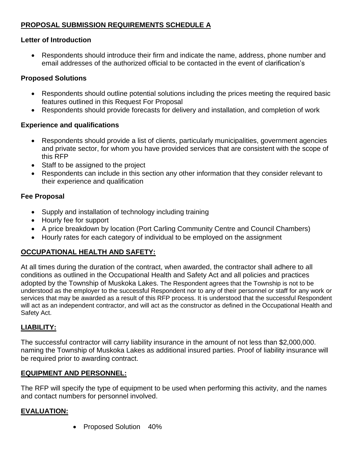# **PROPOSAL SUBMISSION REQUIREMENTS SCHEDULE A**

#### **Letter of Introduction**

 Respondents should introduce their firm and indicate the name, address, phone number and email addresses of the authorized official to be contacted in the event of clarification's

#### **Proposed Solutions**

- Respondents should outline potential solutions including the prices meeting the required basic features outlined in this Request For Proposal
- Respondents should provide forecasts for delivery and installation, and completion of work

#### **Experience and qualifications**

- Respondents should provide a list of clients, particularly municipalities, government agencies and private sector, for whom you have provided services that are consistent with the scope of this RFP
- Staff to be assigned to the project
- Respondents can include in this section any other information that they consider relevant to their experience and qualification

## **Fee Proposal**

- Supply and installation of technology including training
- Hourly fee for support
- A price breakdown by location (Port Carling Community Centre and Council Chambers)
- Hourly rates for each category of individual to be employed on the assignment

## **OCCUPATIONAL HEALTH AND SAFETY:**

At all times during the duration of the contract, when awarded, the contractor shall adhere to all conditions as outlined in the Occupational Health and Safety Act and all policies and practices adopted by the Township of Muskoka Lakes. The Respondent agrees that the Township is not to be understood as the employer to the successful Respondent nor to any of their personnel or staff for any work or services that may be awarded as a result of this RFP process. It is understood that the successful Respondent will act as an independent contractor, and will act as the constructor as defined in the Occupational Health and Safety Act.

## **LIABILITY:**

The successful contractor will carry liability insurance in the amount of not less than \$2,000,000. naming the Township of Muskoka Lakes as additional insured parties. Proof of liability insurance will be required prior to awarding contract.

#### **EQUIPMENT AND PERSONNEL:**

The RFP will specify the type of equipment to be used when performing this activity, and the names and contact numbers for personnel involved.

#### **EVALUATION:**

• Proposed Solution 40%